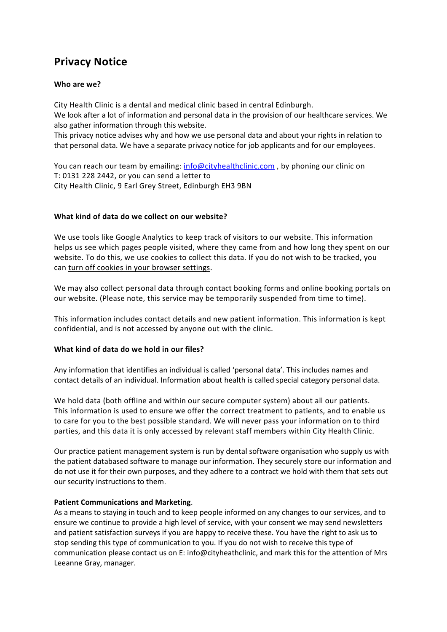# **Privacy Notice**

## **Who are we?**

City Health Clinic is a dental and medical clinic based in central Edinburgh. We look after a lot of information and personal data in the provision of our healthcare services. We also gather information through this website.

This privacy notice advises why and how we use personal data and about your rights in relation to that personal data. We have a separate privacy notice for job applicants and for our employees.

You can reach our team by emailing: [info@cityhealthclinic.com](mailto:info@cityhealthclinic.com), by phoning our clinic on T: 0131 228 2442, or you can send a letter to City Health Clinic, 9 Earl Grey Street, Edinburgh EH3 9BN

## **What kind of data do we collect on our website?**

We use tools like Google Analytics to keep track of visitors to our website. This information helps us see which pages people visited, where they came from and how long they spent on our website. To do this, we use cookies to collect this data. If you do not wish to be tracked, you can [turn off cookies in your browser settings.](https://cookies.insites.com/disable-cookies/)

We may also collect personal data through contact booking forms and online booking portals on our website. (Please note, this service may be temporarily suspended from time to time).

This information includes contact details and new patient information. This information is kept confidential, and is not accessed by anyone out with the clinic.

### **What kind of data do we hold in our files?**

Any information that identifies an individual is called 'personal data'. This includes names and contact details of an individual. Information about health is called special category personal data.

We hold data (both offline and within our secure computer system) about all our patients. This information is used to ensure we offer the correct treatment to patients, and to enable us to care for you to the best possible standard. We will never pass your information on to third parties, and this data it is only accessed by relevant staff members within City Health Clinic.

Our practice patient management system is run by dental software organisation who supply us with the patient databased software to manage our information. They securely store our information and do not use it for their own purposes, and they adhere to a contract we hold with them that sets out our security instructions to them.

### **Patient Communications and Marketing**.

As a means to staying in touch and to keep people informed on any changes to our services, and to ensure we continue to provide a high level of service, with your consent we may send newsletters and patient satisfaction surveys if you are happy to receive these. You have the right to ask us to stop sending this type of communication to you. If you do not wish to receive this type of communication please contact us on E: info@cityheathclinic, and mark this for the attention of Mrs Leeanne Gray, manager.